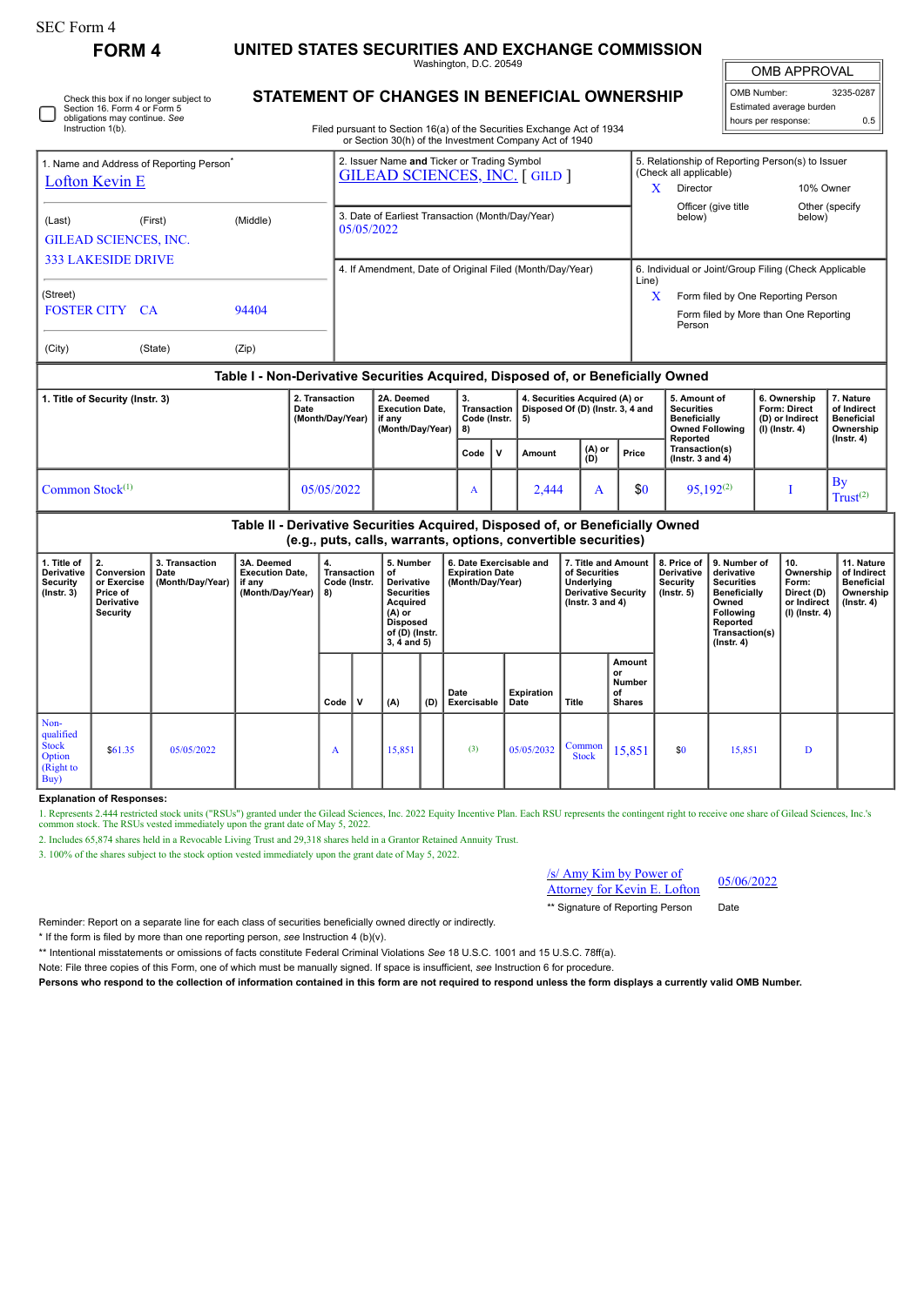| F0rm |  |
|------|--|
|------|--|

**FORM 4 UNITED STATES SECURITIES AND EXCHANGE COMMISSION**

Washington, D.C. 20549

OMB APPROVAL

| OMB Number:              | 3235-0287 |
|--------------------------|-----------|
| Estimated average burden |           |
| hours per response:      | 0.5       |

Check this box if no longer subject to Section 16. Form 4 or Form 5 obligations may continue. *See* Instruction 1(b).

## **STATEMENT OF CHANGES IN BENEFICIAL OWNERSHIP**

Filed pursuant to Section 16(a) of the Securities Exchange Act of 1934 or Section 30(h) of the Investment Company Act of 1940

| 1. Title of Security (Instr. 3)                                        |                                                                                  |          | 2. Transaction<br>Date<br>(Month/Day/Year) I if any      | 2A. Deemed<br><b>Execution Date.</b>                                                | 3.<br>Transaction<br>Code (Instr. 1 | 4. Securities Acquired (A) or<br>Disposed Of (D) (Instr. 3, 4 and<br>-5) |                                                  | 5. Amount of<br><b>Securities</b><br><b>Beneficially</b>  | 6. Ownership<br><b>Form: Direct</b><br>(D) or Indirect | 7. Nature<br>of Indirect<br><b>Beneficial</b> |  |  |
|------------------------------------------------------------------------|----------------------------------------------------------------------------------|----------|----------------------------------------------------------|-------------------------------------------------------------------------------------|-------------------------------------|--------------------------------------------------------------------------|--------------------------------------------------|-----------------------------------------------------------|--------------------------------------------------------|-----------------------------------------------|--|--|
|                                                                        | Table I - Non-Derivative Securities Acquired, Disposed of, or Beneficially Owned |          |                                                          |                                                                                     |                                     |                                                                          |                                                  |                                                           |                                                        |                                               |  |  |
| (City)                                                                 | (State)                                                                          | (Zip)    |                                                          |                                                                                     |                                     |                                                                          |                                                  |                                                           |                                                        |                                               |  |  |
| <b>FOSTER CITY CA</b>                                                  |                                                                                  | 94404    |                                                          |                                                                                     |                                     |                                                                          |                                                  | Form filed by More than One Reporting<br>Person           |                                                        |                                               |  |  |
| (Street)                                                               |                                                                                  |          |                                                          |                                                                                     |                                     |                                                                          | Line)<br>x                                       | Form filed by One Reporting Person                        |                                                        |                                               |  |  |
| <b>333 LAKESIDE DRIVE</b>                                              |                                                                                  |          | 4. If Amendment, Date of Original Filed (Month/Day/Year) |                                                                                     |                                     | 6. Individual or Joint/Group Filing (Check Applicable                    |                                                  |                                                           |                                                        |                                               |  |  |
| (Last)<br><b>GILEAD SCIENCES, INC.</b>                                 | (First)                                                                          | (Middle) | 05/05/2022                                               | 3. Date of Earliest Transaction (Month/Day/Year)                                    |                                     |                                                                          |                                                  | below)                                                    | below)                                                 |                                               |  |  |
| 1. Name and Address of Reporting Person <sup>®</sup><br>Lofton Kevin E |                                                                                  |          |                                                          | 2. Issuer Name and Ticker or Trading Symbol<br><b>GILEAD SCIENCES, INC. [GILD ]</b> |                                     |                                                                          |                                                  | (Check all applicable)<br>Director<br>Officer (give title | 10% Owner                                              | Other (specify)                               |  |  |
|                                                                        |                                                                                  |          |                                                          |                                                                                     |                                     |                                                                          | 5. Relationship of Reporting Person(s) to Issuer |                                                           |                                                        |                                               |  |  |

|                    | (Month/Day/Year)   if any | (Month/Day/Year) | .<br>Code (Instr.<br>8) |              | $ 5\rangle$ |                |       | .<br>Beneficially<br><b>Owned Following</b><br>Reported | .<br>(D) or Indirect<br>$(I)$ (lnstr. 4) | Beneficial<br>Ownership<br>$($ lnstr. 4 $)$ |  |  |  |  |
|--------------------|---------------------------|------------------|-------------------------|--------------|-------------|----------------|-------|---------------------------------------------------------|------------------------------------------|---------------------------------------------|--|--|--|--|
|                    |                           |                  | Code                    | $\mathbf{u}$ | Amount      | $(A)$ or $(D)$ | Price | Transaction(s)<br>$($ lnstr. 3 and 4 $)$                |                                          |                                             |  |  |  |  |
| Common Stock $(1)$ | 05/05/2022                |                  | n.                      |              | 2.444       |                | \$0   | $95,192^{(2)}$                                          |                                          | Bv<br>Trust <sup>(2)</sup>                  |  |  |  |  |

## **Table II - Derivative Securities Acquired, Disposed of, or Beneficially Owned (e.g., puts, calls, warrants, options, convertible securities)**

| 1. Title of<br>Derivative<br>Security<br>(Instr. 3)                        | 2.<br>Conversion<br>or Exercise<br>Price of<br><b>Derivative</b><br>Security | 3. Transaction<br>Date<br>(Month/Day/Year) | 3A. Deemed<br><b>Execution Date,</b><br>if any<br>(Month/Day/Year) | 4.<br>Transaction<br>Code (Instr.<br>8) |   | 5. Number<br>of<br><b>Derivative</b><br><b>Securities</b><br>Acquired<br>(A) or<br><b>Disposed</b><br>of (D) (Instr.<br>$3, 4$ and $5)$ |     | 6. Date Exercisable and<br><b>Expiration Date</b><br>(Month/Day/Year) |                    | 7. Title and Amount<br>of Securities<br>Underlying<br><b>Derivative Security</b><br>( $lnstr. 3 and 4$ ) |                                                      | 8. Price of<br>Derivative<br><b>Security</b><br>$($ lnstr. 5 $)$ | 9. Number of<br>derivative<br><b>Securities</b><br>Beneficially<br>Owned<br><b>Following</b><br>Reported<br>Transaction(s)<br>$($ Instr. 4 $)$ | 10.<br>Ownership<br>Form:<br>Direct (D)<br>or Indirect<br>$(I)$ (Instr. 4) | 11. Nature<br>of Indirect<br><b>Beneficial</b><br>Ownership<br>$($ lnstr. 4 $)$ |
|----------------------------------------------------------------------------|------------------------------------------------------------------------------|--------------------------------------------|--------------------------------------------------------------------|-----------------------------------------|---|-----------------------------------------------------------------------------------------------------------------------------------------|-----|-----------------------------------------------------------------------|--------------------|----------------------------------------------------------------------------------------------------------|------------------------------------------------------|------------------------------------------------------------------|------------------------------------------------------------------------------------------------------------------------------------------------|----------------------------------------------------------------------------|---------------------------------------------------------------------------------|
|                                                                            |                                                                              |                                            |                                                                    | Code                                    | v | (A)                                                                                                                                     | (D) | Date<br>Exercisable                                                   | Expiration<br>Date | Title                                                                                                    | Amount<br>or<br><b>Number</b><br>οf<br><b>Shares</b> |                                                                  |                                                                                                                                                |                                                                            |                                                                                 |
| Non-<br>qualified<br><b>Stock</b><br>Option<br>(Right to<br>$\mathbf{Buy}$ | \$61.35                                                                      | 05/05/2022                                 |                                                                    | A                                       |   | 15,851                                                                                                                                  |     | (3)                                                                   | 05/05/2032         | Common<br><b>Stock</b>                                                                                   | 15,851                                               | \$0                                                              | 15,851                                                                                                                                         | Đ                                                                          |                                                                                 |

## **Explanation of Responses:**

1. Represents 2.444 restricted stock units ("RSUs") granted under the Gilead Sciences, Inc. 2022 Equity Incentive Plan. Each RSU represents the contingent right to receive one share of Gilead Sciences, Inc.'s common stock.

2. Includes 65,874 shares held in a Revocable Living Trust and 29,318 shares held in a Grantor Retained Annuity Trust.

3. 100% of the shares subject to the stock option vested immediately upon the grant date of May 5, 2022.

/s/ Amy Kim by Power of  $\frac{X}{Y}$  Attorney for Kevin E. Lofton  $\frac{05}{06/2022}$ 

\*\* Signature of Reporting Person Date

Reminder: Report on a separate line for each class of securities beneficially owned directly or indirectly.

\* If the form is filed by more than one reporting person, *see* Instruction 4 (b)(v).

\*\* Intentional misstatements or omissions of facts constitute Federal Criminal Violations *See* 18 U.S.C. 1001 and 15 U.S.C. 78ff(a).

Note: File three copies of this Form, one of which must be manually signed. If space is insufficient, *see* Instruction 6 for procedure.

**Persons who respond to the collection of information contained in this form are not required to respond unless the form displays a currently valid OMB Number.**